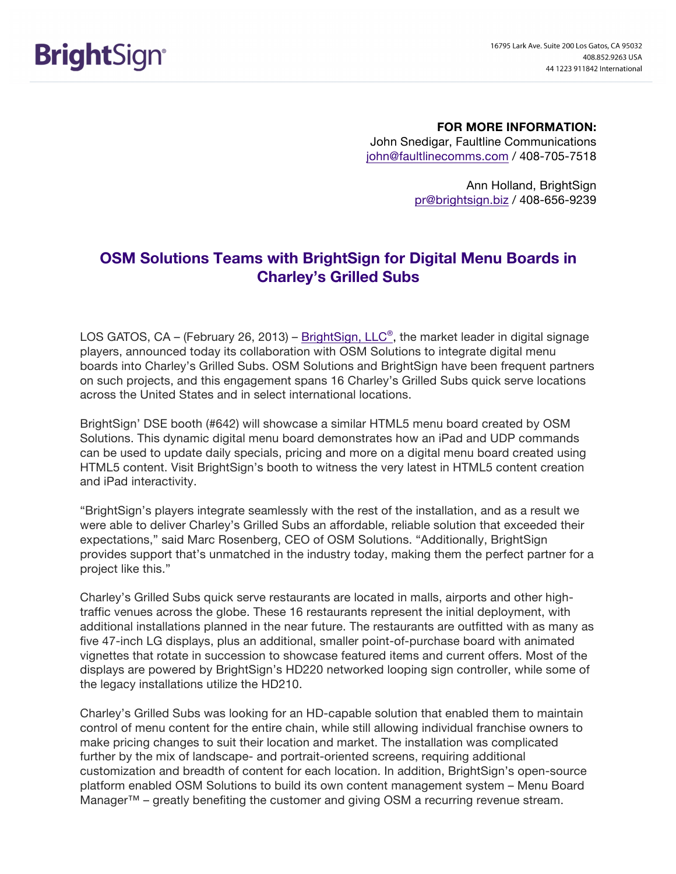**FOR MORE INFORMATION:** John Snedigar, Faultline Communications john@faultlinecomms.com / 408-705-7518

> Ann Holland, BrightSign pr@brightsign.biz / 408-656-9239

## **OSM Solutions Teams with BrightSign for Digital Menu Boards in Charley's Grilled Subs**

LOS GATOS, CA – (February 26, 2013) – BrightSign, LLC<sup>®</sup>, the market leader in digital signage players, announced today its collaboration with OSM Solutions to integrate digital menu boards into Charley's Grilled Subs. OSM Solutions and BrightSign have been frequent partners on such projects, and this engagement spans 16 Charley's Grilled Subs quick serve locations across the United States and in select international locations.

BrightSign' DSE booth (#642) will showcase a similar HTML5 menu board created by OSM Solutions. This dynamic digital menu board demonstrates how an iPad and UDP commands can be used to update daily specials, pricing and more on a digital menu board created using HTML5 content. Visit BrightSign's booth to witness the very latest in HTML5 content creation and iPad interactivity.

"BrightSign's players integrate seamlessly with the rest of the installation, and as a result we were able to deliver Charley's Grilled Subs an affordable, reliable solution that exceeded their expectations," said Marc Rosenberg, CEO of OSM Solutions. "Additionally, BrightSign provides support that's unmatched in the industry today, making them the perfect partner for a project like this."

Charley's Grilled Subs quick serve restaurants are located in malls, airports and other hightraffic venues across the globe. These 16 restaurants represent the initial deployment, with additional installations planned in the near future. The restaurants are outfitted with as many as five 47-inch LG displays, plus an additional, smaller point-of-purchase board with animated vignettes that rotate in succession to showcase featured items and current offers. Most of the displays are powered by BrightSign's HD220 networked looping sign controller, while some of the legacy installations utilize the HD210.

Charley's Grilled Subs was looking for an HD-capable solution that enabled them to maintain control of menu content for the entire chain, while still allowing individual franchise owners to make pricing changes to suit their location and market. The installation was complicated further by the mix of landscape- and portrait-oriented screens, requiring additional customization and breadth of content for each location. In addition, BrightSign's open-source platform enabled OSM Solutions to build its own content management system – Menu Board Manager™ – greatly benefiting the customer and giving OSM a recurring revenue stream.